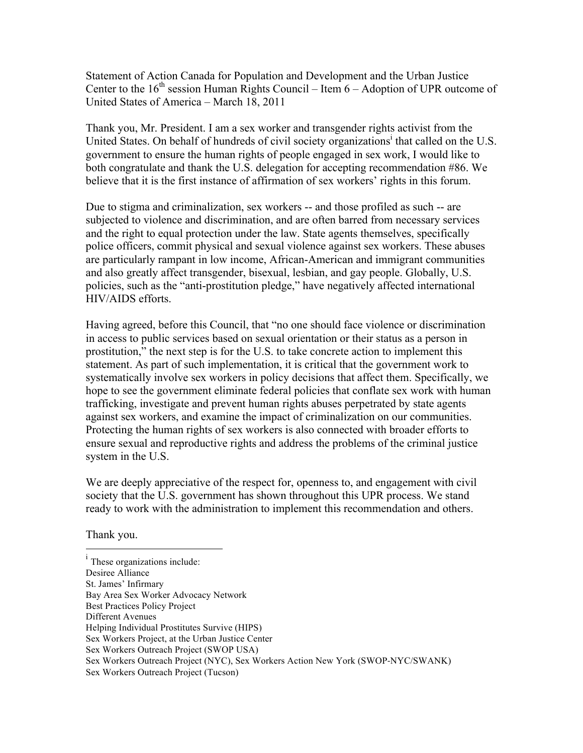Statement of Action Canada for Population and Development and the Urban Justice Center to the  $16<sup>th</sup>$  session Human Rights Council – Item  $6 -$  Adoption of UPR outcome of United States of America – March 18, 2011

Thank you, Mr. President. I am a sex worker and transgender rights activist from the United States. On behalf of hundreds of civil society organizations<sup>i</sup> that called on the U.S. government to ensure the human rights of people engaged in sex work, I would like to both congratulate and thank the U.S. delegation for accepting recommendation #86. We believe that it is the first instance of affirmation of sex workers' rights in this forum.

Due to stigma and criminalization, sex workers -- and those profiled as such -- are subjected to violence and discrimination, and are often barred from necessary services and the right to equal protection under the law. State agents themselves, specifically police officers, commit physical and sexual violence against sex workers. These abuses are particularly rampant in low income, African-American and immigrant communities and also greatly affect transgender, bisexual, lesbian, and gay people. Globally, U.S. policies, such as the "anti-prostitution pledge," have negatively affected international HIV/AIDS efforts.

Having agreed, before this Council, that "no one should face violence or discrimination in access to public services based on sexual orientation or their status as a person in prostitution," the next step is for the U.S. to take concrete action to implement this statement. As part of such implementation, it is critical that the government work to systematically involve sex workers in policy decisions that affect them. Specifically, we hope to see the government eliminate federal policies that conflate sex work with human trafficking, investigate and prevent human rights abuses perpetrated by state agents against sex workers, and examine the impact of criminalization on our communities. Protecting the human rights of sex workers is also connected with broader efforts to ensure sexual and reproductive rights and address the problems of the criminal justice system in the U.S.

We are deeply appreciative of the respect for, openness to, and engagement with civil society that the U.S. government has shown throughout this UPR process. We stand ready to work with the administration to implement this recommendation and others.

Thank you.

|<br>i  $\frac{1}{1}$  These organizations include: Desiree Alliance St. James' Infirmary Bay Area Sex Worker Advocacy Network Best Practices Policy Project Different Avenues Helping Individual Prostitutes Survive (HIPS) Sex Workers Project, at the Urban Justice Center Sex Workers Outreach Project (SWOP USA) Sex Workers Outreach Project (NYC), Sex Workers Action New York (SWOP-NYC/SWANK) Sex Workers Outreach Project (Tucson)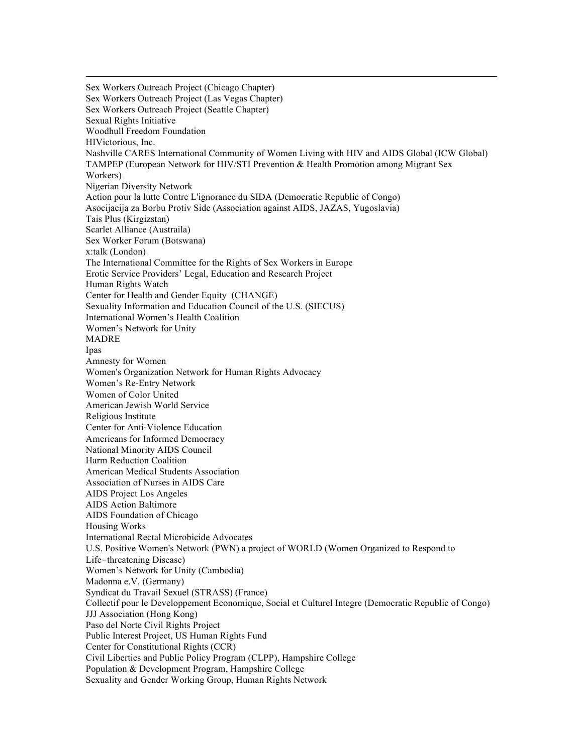Sex Workers Outreach Project (Chicago Chapter) Sex Workers Outreach Project (Las Vegas Chapter) Sex Workers Outreach Project (Seattle Chapter) Sexual Rights Initiative Woodhull Freedom Foundation HIVictorious, Inc. Nashville CARES International Community of Women Living with HIV and AIDS Global (ICW Global) TAMPEP (European Network for HIV/STI Prevention & Health Promotion among Migrant Sex Workers) Nigerian Diversity Network Action pour la lutte Contre L'ignorance du SIDA (Democratic Republic of Congo) Asocijacija za Borbu Protiv Side (Association against AIDS, JAZAS, Yugoslavia) Tais Plus (Kirgizstan) Scarlet Alliance (Austraila) Sex Worker Forum (Botswana) x:talk (London) The International Committee for the Rights of Sex Workers in Europe Erotic Service Providers' Legal, Education and Research Project Human Rights Watch Center for Health and Gender Equity (CHANGE) Sexuality Information and Education Council of the U.S. (SIECUS) International Women's Health Coalition Women's Network for Unity MADRE Ipas Amnesty for Women Women's Organization Network for Human Rights Advocacy Women's Re-Entry Network Women of Color United American Jewish World Service Religious Institute Center for Anti-Violence Education Americans for Informed Democracy National Minority AIDS Council Harm Reduction Coalition American Medical Students Association Association of Nurses in AIDS Care AIDS Project Los Angeles AIDS Action Baltimore AIDS Foundation of Chicago Housing Works International Rectal Microbicide Advocates U.S. Positive Women's Network (PWN) a project of WORLD (Women Organized to Respond to Life-threatening Disease) Women's Network for Unity (Cambodia) Madonna e.V. (Germany) Syndicat du Travail Sexuel (STRASS) (France) Collectif pour le Developpement Economique, Social et Culturel Integre (Democratic Republic of Congo) JJJ Association (Hong Kong) Paso del Norte Civil Rights Project Public Interest Project, US Human Rights Fund Center for Constitutional Rights (CCR) Civil Liberties and Public Policy Program (CLPP), Hampshire College Population & Development Program, Hampshire College Sexuality and Gender Working Group, Human Rights Network